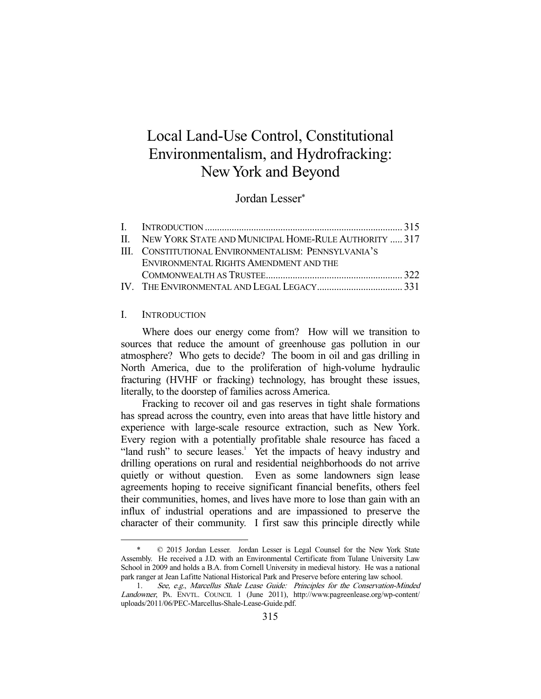# Local Land-Use Control, Constitutional Environmentalism, and Hydrofracking: New York and Beyond

Jordan Lesser\*

| II. NEW YORK STATE AND MUNICIPAL HOME-RULE AUTHORITY  317 |  |
|-----------------------------------------------------------|--|
| III. CONSTITUTIONAL ENVIRONMENTALISM: PENNSYLVANIA'S      |  |
| ENVIRONMENTAL RIGHTS AMENDMENT AND THE                    |  |
|                                                           |  |
|                                                           |  |

### I. INTRODUCTION

-

 Where does our energy come from? How will we transition to sources that reduce the amount of greenhouse gas pollution in our atmosphere? Who gets to decide? The boom in oil and gas drilling in North America, due to the proliferation of high-volume hydraulic fracturing (HVHF or fracking) technology, has brought these issues, literally, to the doorstep of families across America.

 Fracking to recover oil and gas reserves in tight shale formations has spread across the country, even into areas that have little history and experience with large-scale resource extraction, such as New York. Every region with a potentially profitable shale resource has faced a "land rush" to secure leases.<sup>1</sup> Yet the impacts of heavy industry and drilling operations on rural and residential neighborhoods do not arrive quietly or without question. Even as some landowners sign lease agreements hoping to receive significant financial benefits, others feel their communities, homes, and lives have more to lose than gain with an influx of industrial operations and are impassioned to preserve the character of their community. I first saw this principle directly while

 <sup>\* © 2015</sup> Jordan Lesser. Jordan Lesser is Legal Counsel for the New York State Assembly. He received a J.D. with an Environmental Certificate from Tulane University Law School in 2009 and holds a B.A. from Cornell University in medieval history. He was a national park ranger at Jean Lafitte National Historical Park and Preserve before entering law school.

 <sup>1.</sup> See, e.g., Marcellus Shale Lease Guide: Principles for the Conservation-Minded Landowner, PA. ENVTL. COUNCIL 1 (June 2011), http://www.pagreenlease.org/wp-content/ uploads/2011/06/PEC-Marcellus-Shale-Lease-Guide.pdf.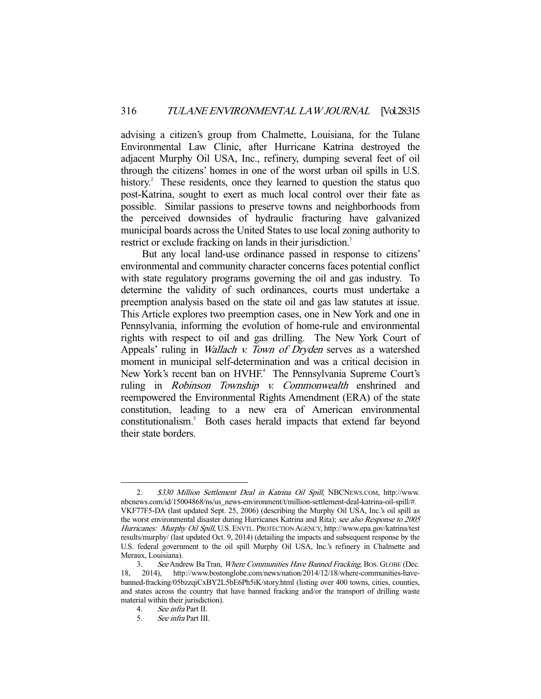advising a citizen's group from Chalmette, Louisiana, for the Tulane Environmental Law Clinic, after Hurricane Katrina destroyed the adjacent Murphy Oil USA, Inc., refinery, dumping several feet of oil through the citizens' homes in one of the worst urban oil spills in U.S. history.<sup>2</sup> These residents, once they learned to question the status quo post-Katrina, sought to exert as much local control over their fate as possible. Similar passions to preserve towns and neighborhoods from the perceived downsides of hydraulic fracturing have galvanized municipal boards across the United States to use local zoning authority to restrict or exclude fracking on lands in their jurisdiction.<sup>3</sup>

 But any local land-use ordinance passed in response to citizens' environmental and community character concerns faces potential conflict with state regulatory programs governing the oil and gas industry. To determine the validity of such ordinances, courts must undertake a preemption analysis based on the state oil and gas law statutes at issue. This Article explores two preemption cases, one in New York and one in Pennsylvania, informing the evolution of home-rule and environmental rights with respect to oil and gas drilling. The New York Court of Appeals' ruling in *Wallach v. Town of Dryden* serves as a watershed moment in municipal self-determination and was a critical decision in New York's recent ban on HVHF.<sup>4</sup> The Pennsylvania Supreme Court's ruling in *Robinson Township v. Commonwealth* enshrined and reempowered the Environmental Rights Amendment (ERA) of the state constitution, leading to a new era of American environmental constitutionalism.<sup>5</sup> Both cases herald impacts that extend far beyond their state borders.

 <sup>2.</sup> \$330 Million Settlement Deal in Katrina Oil Spill, NBCNEWS.COM, http://www. nbcnews.com/id/15004868/ns/us\_news-environment/t/million-settlement-deal-katrina-oil-spill/#. VKF77F5-DA (last updated Sept. 25, 2006) (describing the Murphy Oil USA, Inc.'s oil spill as the worst environmental disaster during Hurricanes Katrina and Rita); see also Response to 2005 Hurricanes: Murphy Oil Spill, U.S. ENVTL. PROTECTION AGENCY, http://www.epa.gov/katrina/test results/murphy/ (last updated Oct. 9, 2014) (detailing the impacts and subsequent response by the U.S. federal government to the oil spill Murphy Oil USA, Inc.'s refinery in Chalmette and Meraux, Louisiana).

<sup>3.</sup> See Andrew Ba Tran, Where Communities Have Banned Fracking, BOS. GLOBE (Dec. 18, 2014), http://www.bostonglobe.com/news/nation/2014/12/18/where-communities-havebanned-fracking/05bzzqiCxBY2L5bE6Ph5iK/story.html (listing over 400 towns, cities, counties, and states across the country that have banned fracking and/or the transport of drilling waste material within their jurisdiction).

<sup>4.</sup> See infra Part II.<br>5. See infra Part III.

 <sup>5.</sup> See infra Part III.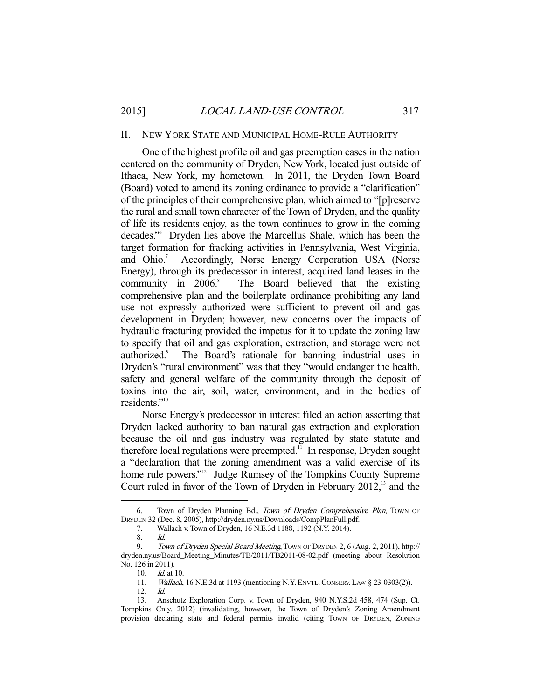#### II. NEW YORK STATE AND MUNICIPAL HOME-RULE AUTHORITY

 One of the highest profile oil and gas preemption cases in the nation centered on the community of Dryden, New York, located just outside of Ithaca, New York, my hometown. In 2011, the Dryden Town Board (Board) voted to amend its zoning ordinance to provide a "clarification" of the principles of their comprehensive plan, which aimed to "[p]reserve the rural and small town character of the Town of Dryden, and the quality of life its residents enjoy, as the town continues to grow in the coming decades."6 Dryden lies above the Marcellus Shale, which has been the target formation for fracking activities in Pennsylvania, West Virginia, and Ohio.<sup>7</sup> Accordingly, Norse Energy Corporation USA (Norse Energy), through its predecessor in interest, acquired land leases in the community in  $2006$ .<sup>8</sup> The Board believed that the existing comprehensive plan and the boilerplate ordinance prohibiting any land use not expressly authorized were sufficient to prevent oil and gas development in Dryden; however, new concerns over the impacts of hydraulic fracturing provided the impetus for it to update the zoning law to specify that oil and gas exploration, extraction, and storage were not authorized.<sup>9</sup> The Board's rationale for banning industrial uses in Dryden's "rural environment" was that they "would endanger the health, safety and general welfare of the community through the deposit of toxins into the air, soil, water, environment, and in the bodies of residents."<sup>10</sup>

 Norse Energy's predecessor in interest filed an action asserting that Dryden lacked authority to ban natural gas extraction and exploration because the oil and gas industry was regulated by state statute and therefore local regulations were preempted.<sup>11</sup> In response, Dryden sought a "declaration that the zoning amendment was a valid exercise of its home rule powers."<sup>12</sup> Judge Rumsey of the Tompkins County Supreme Court ruled in favor of the Town of Dryden in February 2012,<sup>13</sup> and the

<sup>6.</sup> Town of Dryden Planning Bd., Town of Dryden Comprehensive Plan, Town OF DRYDEN 32 (Dec. 8, 2005), http://dryden.ny.us/Downloads/CompPlanFull.pdf.

 <sup>7.</sup> Wallach v. Town of Dryden, 16 N.E.3d 1188, 1192 (N.Y. 2014).

 <sup>8.</sup> Id.

<sup>9.</sup> Town of Dryden Special Board Meeting, TOWN OF DRYDEN 2, 6 (Aug. 2, 2011), http:// dryden.ny.us/Board\_Meeting\_Minutes/TB/2011/TB2011-08-02.pdf (meeting about Resolution No. 126 in 2011).

 <sup>10.</sup> Id. at 10.

<sup>11.</sup> Wallach, 16 N.E.3d at 1193 (mentioning N.Y. ENVTL. CONSERV. LAW § 23-0303(2)).

 <sup>12.</sup> Id.

 <sup>13.</sup> Anschutz Exploration Corp. v. Town of Dryden, 940 N.Y.S.2d 458, 474 (Sup. Ct. Tompkins Cnty. 2012) (invalidating, however, the Town of Dryden's Zoning Amendment provision declaring state and federal permits invalid (citing TOWN OF DRYDEN, ZONING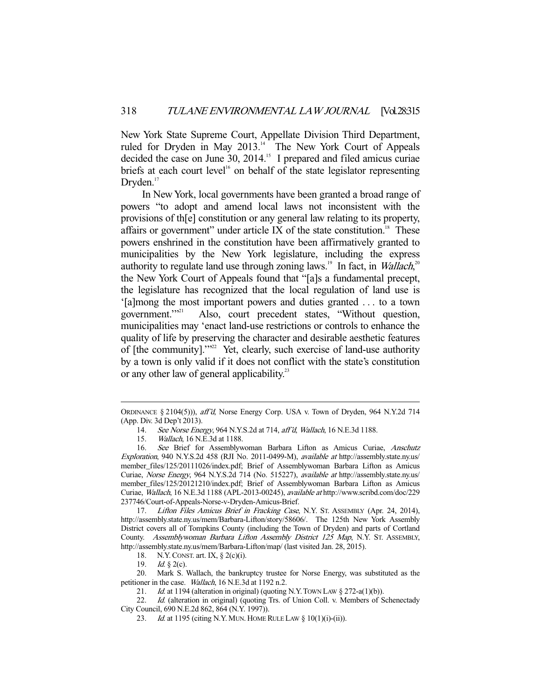New York State Supreme Court, Appellate Division Third Department, ruled for Dryden in May 2013.<sup>14</sup> The New York Court of Appeals decided the case on June 30, 2014.<sup>15</sup> I prepared and filed amicus curiae briefs at each court level<sup>16</sup> on behalf of the state legislator representing  $Dryden.<sup>17</sup>$ 

 In New York, local governments have been granted a broad range of powers "to adopt and amend local laws not inconsistent with the provisions of th[e] constitution or any general law relating to its property, affairs or government" under article IX of the state constitution.<sup>18</sup> These powers enshrined in the constitution have been affirmatively granted to municipalities by the New York legislature, including the express authority to regulate land use through zoning laws.<sup>19</sup> In fact, in *Wallach*,<sup>20</sup> the New York Court of Appeals found that "[a]s a fundamental precept, the legislature has recognized that the local regulation of land use is '[a]mong the most important powers and duties granted ... to a town government."<sup>21</sup> Also, court precedent states. "Without question. Also, court precedent states, "Without question, municipalities may 'enact land-use restrictions or controls to enhance the quality of life by preserving the character and desirable aesthetic features of [the community]."<sup>22</sup> Yet, clearly, such exercise of land-use authority by a town is only valid if it does not conflict with the state's constitution or any other law of general applicability.<sup>23</sup>

18. N.Y. CONST. art. IX, § 2(c)(i).<br>19. Id. § 2(c).

Id.  $\S$  2(c).

-

 20. Mark S. Wallach, the bankruptcy trustee for Norse Energy, was substituted as the petitioner in the case. Wallach, 16 N.E.3d at 1192 n.2.

21. *Id.* at 1194 (alteration in original) (quoting N.Y. TOWN LAW  $\S 272-a(1)(b)$ ).

22. Id. (alteration in original) (quoting Trs. of Union Coll. v. Members of Schenectady City Council, 690 N.E.2d 862, 864 (N.Y. 1997)).

23. *Id.* at 1195 (citing N.Y. MUN. HOME RULE LAW § 10(1)(i)-(ii)).

ORDINANCE § 2104(5))), aff'd, Norse Energy Corp. USA v. Town of Dryden, 964 N.Y.2d 714 (App. Div. 3d Dep't 2013).

<sup>14.</sup> See Norse Energy, 964 N.Y.S.2d at 714, aff'd, Wallach, 16 N.E.3d 1188.

 <sup>15.</sup> Wallach, 16 N.E.3d at 1188.

 <sup>16.</sup> See Brief for Assemblywoman Barbara Lifton as Amicus Curiae, Anschutz Exploration, 940 N.Y.S.2d 458 (RJI No. 2011-0499-M), available at http://assembly.state.ny.us/ member\_files/125/20111026/index.pdf; Brief of Assemblywoman Barbara Lifton as Amicus Curiae, Norse Energy, 964 N.Y.S.2d 714 (No. 515227), available at http://assembly.state.ny.us/ member\_files/125/20121210/index.pdf; Brief of Assemblywoman Barbara Lifton as Amicus Curiae, Wallach, 16 N.E.3d 1188 (APL-2013-00245), available at http://www.scribd.com/doc/229 237746/Court-of-Appeals-Norse-v-Dryden-Amicus-Brief.

<sup>17.</sup> Lifton Files Amicus Brief in Fracking Case, N.Y. ST. ASSEMBLY (Apr. 24, 2014), http://assembly.state.ny.us/mem/Barbara-Lifton/story/58606/. The 125th New York Assembly District covers all of Tompkins County (including the Town of Dryden) and parts of Cortland County. Assemblywoman Barbara Lifton Assembly District 125 Map, N.Y. ST. ASSEMBLY, http://assembly.state.ny.us/mem/Barbara-Lifton/map/ (last visited Jan. 28, 2015).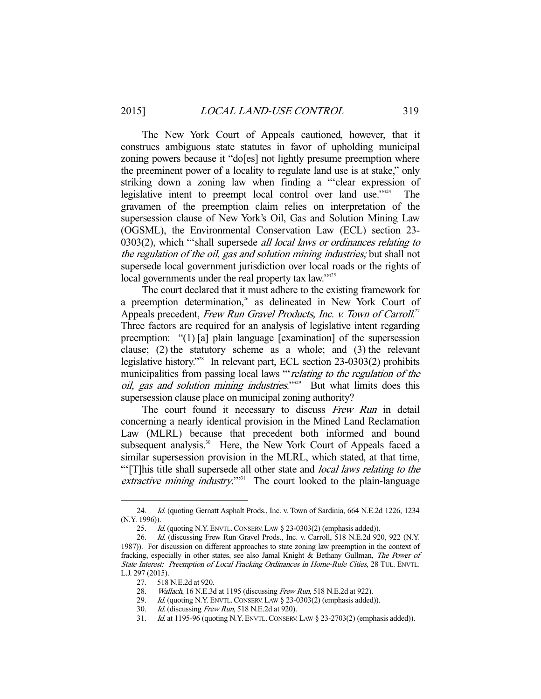The New York Court of Appeals cautioned, however, that it construes ambiguous state statutes in favor of upholding municipal zoning powers because it "do[es] not lightly presume preemption where the preeminent power of a locality to regulate land use is at stake," only striking down a zoning law when finding a "'clear expression of legislative intent to preempt local control over land use."<sup>24</sup> The gravamen of the preemption claim relies on interpretation of the supersession clause of New York's Oil, Gas and Solution Mining Law (OGSML), the Environmental Conservation Law (ECL) section 23- 0303(2), which "'shall supersede all local laws or ordinances relating to the regulation of the oil, gas and solution mining industries; but shall not supersede local government jurisdiction over local roads or the rights of local governments under the real property tax law."<sup>25</sup>

 The court declared that it must adhere to the existing framework for a preemption determination, $26$  as delineated in New York Court of Appeals precedent, Frew Run Gravel Products, Inc. v. Town of Carroll.<sup>27</sup> Three factors are required for an analysis of legislative intent regarding preemption: "(1) [a] plain language [examination] of the supersession clause; (2) the statutory scheme as a whole; and (3) the relevant legislative history."<sup>28</sup> In relevant part, ECL section 23-0303(2) prohibits municipalities from passing local laws ""relating to the regulation of the oil, gas and solution mining industries."<sup>29</sup> But what limits does this supersession clause place on municipal zoning authority?

The court found it necessary to discuss Frew Run in detail concerning a nearly identical provision in the Mined Land Reclamation Law (MLRL) because that precedent both informed and bound subsequent analysis.<sup>30</sup> Here, the New York Court of Appeals faced a similar supersession provision in the MLRL, which stated, at that time, "'[T]his title shall supersede all other state and *local laws relating to the* extractive mining industry." $331$  The court looked to the plain-language

<sup>24.</sup> Id. (quoting Gernatt Asphalt Prods., Inc. v. Town of Sardinia, 664 N.E.2d 1226, 1234 (N.Y. 1996)).

<sup>25.</sup> *Id.* (quoting N.Y. ENVTL. CONSERV. LAW § 23-0303(2) (emphasis added)).

<sup>26.</sup> Id. (discussing Frew Run Gravel Prods., Inc. v. Carroll, 518 N.E.2d 920, 922 (N.Y. 1987)). For discussion on different approaches to state zoning law preemption in the context of fracking, especially in other states, see also Jamal Knight & Bethany Gullman, The Power of State Interest: Preemption of Local Fracking Ordinances in Home-Rule Cities, 28 TUL. ENVTL. L.J. 297 (2015).

<sup>27. 518</sup> N.E.2d at 920.<br>28. *Wallach*, 16 N.E.3d

Wallach, 16 N.E.3d at 1195 (discussing Frew Run, 518 N.E.2d at 922).

<sup>29.</sup> Id. (quoting N.Y. ENVTL. CONSERV. LAW § 23-0303(2) (emphasis added)).

 <sup>30.</sup> Id. (discussing Frew Run, 518 N.E.2d at 920).

 <sup>31.</sup> Id. at 1195-96 (quoting N.Y. ENVTL.CONSERV. LAW § 23-2703(2) (emphasis added)).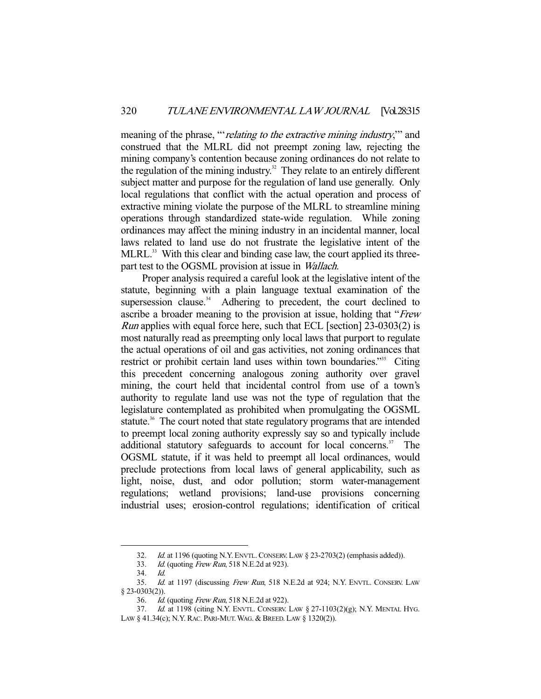meaning of the phrase, "*relating to the extractive mining industry*," and construed that the MLRL did not preempt zoning law, rejecting the mining company's contention because zoning ordinances do not relate to the regulation of the mining industry.<sup>32</sup> They relate to an entirely different subject matter and purpose for the regulation of land use generally. Only local regulations that conflict with the actual operation and process of extractive mining violate the purpose of the MLRL to streamline mining operations through standardized state-wide regulation. While zoning ordinances may affect the mining industry in an incidental manner, local laws related to land use do not frustrate the legislative intent of the MLRL.<sup>33</sup> With this clear and binding case law, the court applied its threepart test to the OGSML provision at issue in Wallach.

 Proper analysis required a careful look at the legislative intent of the statute, beginning with a plain language textual examination of the supersession clause. $34$  Adhering to precedent, the court declined to ascribe a broader meaning to the provision at issue, holding that "Frew Run applies with equal force here, such that ECL [section] 23-0303(2) is most naturally read as preempting only local laws that purport to regulate the actual operations of oil and gas activities, not zoning ordinances that restrict or prohibit certain land uses within town boundaries."<sup>35</sup> Citing this precedent concerning analogous zoning authority over gravel mining, the court held that incidental control from use of a town's authority to regulate land use was not the type of regulation that the legislature contemplated as prohibited when promulgating the OGSML statute.<sup>36</sup> The court noted that state regulatory programs that are intended to preempt local zoning authority expressly say so and typically include additional statutory safeguards to account for local concerns.<sup>37</sup> The OGSML statute, if it was held to preempt all local ordinances, would preclude protections from local laws of general applicability, such as light, noise, dust, and odor pollution; storm water-management regulations; wetland provisions; land-use provisions concerning industrial uses; erosion-control regulations; identification of critical

<sup>32.</sup> Id. at 1196 (quoting N.Y. ENVTL. CONSERV. LAW § 23-2703(2) (emphasis added)).<br>33. Id. (quoting Frew Run, 518 N.E.2d at 923).

*Id.* (quoting *Frew Run*, 518 N.E.2d at 923).

 <sup>34.</sup> Id.

<sup>35.</sup> Id. at 1197 (discussing Frew Run, 518 N.E.2d at 924; N.Y. ENVTL. CONSERV. LAW § 23-0303(2)).

<sup>36.</sup> *Id.* (quoting *Frew Run*, 518 N.E.2d at 922).

 <sup>37.</sup> Id. at 1198 (citing N.Y. ENVTL. CONSERV. LAW § 27-1103(2)(g); N.Y. MENTAL HYG. LAW § 41.34(c); N.Y. RAC. PARI-MUT. WAG. & BREED. LAW § 1320(2)).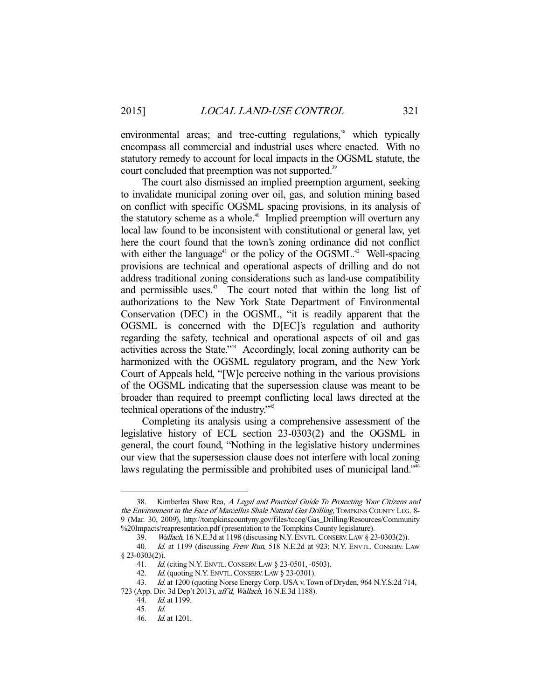environmental areas; and tree-cutting regulations,<sup>38</sup> which typically encompass all commercial and industrial uses where enacted. With no statutory remedy to account for local impacts in the OGSML statute, the court concluded that preemption was not supported.<sup>39</sup>

 The court also dismissed an implied preemption argument, seeking to invalidate municipal zoning over oil, gas, and solution mining based on conflict with specific OGSML spacing provisions, in its analysis of the statutory scheme as a whole.<sup>40</sup> Implied preemption will overturn any local law found to be inconsistent with constitutional or general law, yet here the court found that the town's zoning ordinance did not conflict with either the language<sup>41</sup> or the policy of the OGSML.<sup>42</sup> Well-spacing provisions are technical and operational aspects of drilling and do not address traditional zoning considerations such as land-use compatibility and permissible uses.<sup>43</sup> The court noted that within the long list of authorizations to the New York State Department of Environmental Conservation (DEC) in the OGSML, "it is readily apparent that the OGSML is concerned with the D[EC]'s regulation and authority regarding the safety, technical and operational aspects of oil and gas activities across the State."44 Accordingly, local zoning authority can be harmonized with the OGSML regulatory program, and the New York Court of Appeals held, "[W]e perceive nothing in the various provisions of the OGSML indicating that the supersession clause was meant to be broader than required to preempt conflicting local laws directed at the technical operations of the industry."45

 Completing its analysis using a comprehensive assessment of the legislative history of ECL section 23-0303(2) and the OGSML in general, the court found, "Nothing in the legislative history undermines our view that the supersession clause does not interfere with local zoning laws regulating the permissible and prohibited uses of municipal land."<sup>46</sup>

<sup>38.</sup> Kimberlea Shaw Rea, A Legal and Practical Guide To Protecting Your Citizens and the Environment in the Face of Marcellus Shale Natural Gas Drilling, TOMPKINS COUNTY LEG. 8-9 (Mar. 30, 2009), http://tompkinscountyny.gov/files/tccog/Gas\_Drilling/Resources/Community %20Impacts/reapresentation.pdf (presentation to the Tompkins County legislature).

 <sup>39.</sup> Wallach, 16 N.E.3d at 1198 (discussing N.Y. ENVTL.CONSERV.LAW § 23-0303(2)).

<sup>40.</sup> Id. at 1199 (discussing Frew Run, 518 N.E.2d at 923; N.Y. ENVTL. CONSERV. LAW  $\frac{8}{41}$ . 7d.

<sup>41.</sup> *Id.* (citing N.Y. ENVTL. CONSERV. LAW § 23-0501, -0503).<br>42. *Id.* (quoting N.Y. ENVTL. CONSERV. LAW § 23-0301).

 $1d$ . (quoting N.Y. ENVTL. CONSERV. LAW § 23-0301).

<sup>43.</sup> *Id.* at 1200 (quoting Norse Energy Corp. USA v. Town of Dryden, 964 N.Y.S.2d 714, 723 (App. Div. 3d Dep't 2013), aff'd, Wallach, 16 N.E.3d 1188).

<sup>44.</sup> *Id.* at 1199.

 <sup>45.</sup> Id.

 <sup>46.</sup> Id. at 1201.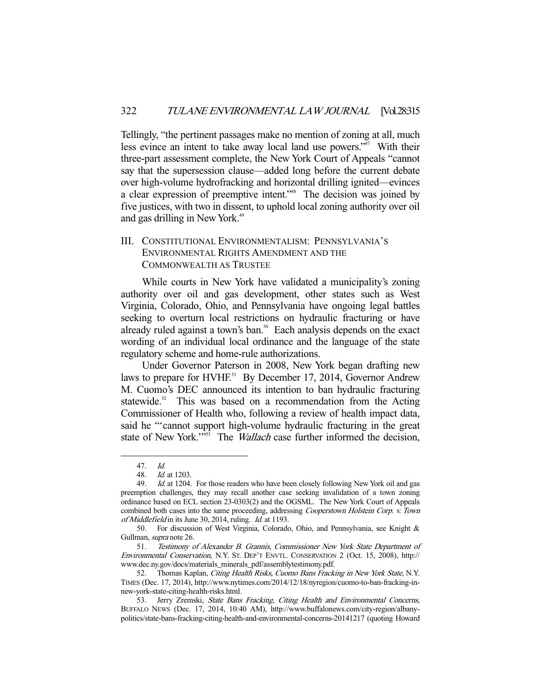Tellingly, "the pertinent passages make no mention of zoning at all, much less evince an intent to take away local land use powers."47 With their three-part assessment complete, the New York Court of Appeals "cannot say that the supersession clause—added long before the current debate over high-volume hydrofracking and horizontal drilling ignited—evinces a clear expression of preemptive intent."<sup>48</sup> The decision was joined by five justices, with two in dissent, to uphold local zoning authority over oil and gas drilling in New York.<sup>49</sup>

## III. CONSTITUTIONAL ENVIRONMENTALISM: PENNSYLVANIA'S ENVIRONMENTAL RIGHTS AMENDMENT AND THE COMMONWEALTH AS TRUSTEE

 While courts in New York have validated a municipality's zoning authority over oil and gas development, other states such as West Virginia, Colorado, Ohio, and Pennsylvania have ongoing legal battles seeking to overturn local restrictions on hydraulic fracturing or have already ruled against a town's ban. $50$  Each analysis depends on the exact wording of an individual local ordinance and the language of the state regulatory scheme and home-rule authorizations.

 Under Governor Paterson in 2008, New York began drafting new laws to prepare for HVHF.<sup>51</sup> By December 17, 2014, Governor Andrew M. Cuomo's DEC announced its intention to ban hydraulic fracturing statewide.<sup>52</sup> This was based on a recommendation from the Acting Commissioner of Health who, following a review of health impact data, said he "'cannot support high-volume hydraulic fracturing in the great state of New York."<sup>53</sup> The *Wallach* case further informed the decision,

 <sup>47.</sup> Id.

 <sup>48.</sup> Id. at 1203.

<sup>49.</sup> Id. at 1204. For those readers who have been closely following New York oil and gas preemption challenges, they may recall another case seeking invalidation of a town zoning ordinance based on ECL section 23-0303(2) and the OGSML. The New York Court of Appeals combined both cases into the same proceeding, addressing *Cooperstown Holstein Corp. v. Town* of Middlefield in its June 30, 2014, ruling. Id. at 1193.

 <sup>50.</sup> For discussion of West Virginia, Colorado, Ohio, and Pennsylvania, see Knight & Gullman, supra note 26.

 <sup>51.</sup> Testimony of Alexander B. Grannis, Commissioner New York State Department of Environmental Conservation, N.Y. ST. DEP'T ENVTL. CONSERVATION 2 (Oct. 15, 2008), http:// www.dec.ny.gov/docs/materials\_minerals\_pdf/assemblytestimony.pdf.

<sup>52.</sup> Thomas Kaplan, Citing Health Risks, Cuomo Bans Fracking in New York State, N.Y. TIMES (Dec. 17, 2014), http://www.nytimes.com/2014/12/18/nyregion/cuomo-to-ban-fracking-innew-york-state-citing-health-risks.html.

<sup>53.</sup> Jerry Zremski, State Bans Fracking, Citing Health and Environmental Concerns, BUFFALO NEWS (Dec. 17, 2014, 10:40 AM), http://www.buffalonews.com/city-region/albanypolitics/state-bans-fracking-citing-health-and-environmental-concerns-20141217 (quoting Howard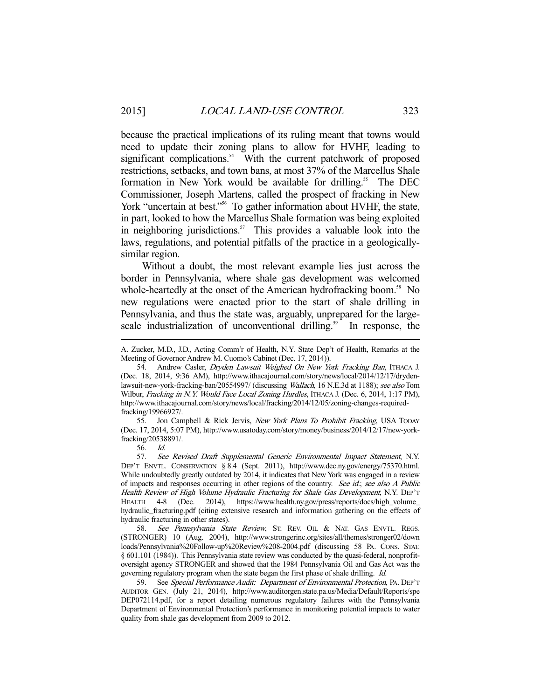because the practical implications of its ruling meant that towns would need to update their zoning plans to allow for HVHF, leading to significant complications. $54$  With the current patchwork of proposed restrictions, setbacks, and town bans, at most 37% of the Marcellus Shale formation in New York would be available for drilling.<sup>55</sup> The DEC Commissioner, Joseph Martens, called the prospect of fracking in New York "uncertain at best."<sup>56</sup> To gather information about HVHF, the state, in part, looked to how the Marcellus Shale formation was being exploited in neighboring jurisdictions.<sup>57</sup> This provides a valuable look into the laws, regulations, and potential pitfalls of the practice in a geologicallysimilar region.

 Without a doubt, the most relevant example lies just across the border in Pennsylvania, where shale gas development was welcomed whole-heartedly at the onset of the American hydrofracking boom.<sup>58</sup> No new regulations were enacted prior to the start of shale drilling in Pennsylvania, and thus the state was, arguably, unprepared for the largescale industrialization of unconventional drilling.<sup>59</sup> In response, the

A. Zucker, M.D., J.D., Acting Comm'r of Health, N.Y. State Dep't of Health, Remarks at the Meeting of Governor Andrew M. Cuomo's Cabinet (Dec. 17, 2014)).

<sup>54.</sup> Andrew Casler, *Dryden Lawsuit Weighed On New York Fracking Ban*, ITHACA J. (Dec. 18, 2014, 9:36 AM), http://www.ithacajournal.com/story/news/local/2014/12/17/drydenlawsuit-new-york-fracking-ban/20554997/ (discussing *Wallach*, 16 N.E.3d at 1188); see also Tom Wilbur, Fracking in N.Y. Would Face Local Zoning Hurdles, ITHACA J. (Dec. 6, 2014, 1:17 PM), http://www.ithacajournal.com/story/news/local/fracking/2014/12/05/zoning-changes-requiredfracking/19966927/.

<sup>55.</sup> Jon Campbell & Rick Jervis, New York Plans To Prohibit Fracking, USA TODAY (Dec. 17, 2014, 5:07 PM), http://www.usatoday.com/story/money/business/2014/12/17/new-yorkfracking/20538891/.

 <sup>56.</sup> Id.

 <sup>57.</sup> See Revised Draft Supplemental Generic Environmental Impact Statement, N.Y. DEP'T ENVTL. CONSERVATION § 8.4 (Sept. 2011), http://www.dec.ny.gov/energy/75370.html. While undoubtedly greatly outdated by 2014, it indicates that New York was engaged in a review of impacts and responses occurring in other regions of the country. See id.; see also A Public Health Review of High Volume Hydraulic Fracturing for Shale Gas Development, N.Y. DEP'T<br>HEALTH 4-8 (Dec. 2014). https://www.health.nv.gov/press/reports/docs/high volume (Dec. 2014), https://www.health.ny.gov/press/reports/docs/high\_volume\_ hydraulic\_fracturing.pdf (citing extensive research and information gathering on the effects of hydraulic fracturing in other states).

<sup>58.</sup> See Pennsylvania State Review, St. REV. OIL & NAT. GAS ENVTL. REGS. (STRONGER) 10 (Aug. 2004), http://www.strongerinc.org/sites/all/themes/stronger02/down loads/Pennsylvania%20Follow-up%20Review%208-2004.pdf (discussing 58 PA. CONS. STAT. § 601.101 (1984)). This Pennsylvania state review was conducted by the quasi-federal, nonprofitoversight agency STRONGER and showed that the 1984 Pennsylvania Oil and Gas Act was the governing regulatory program when the state began the first phase of shale drilling. Id.

 <sup>59.</sup> See Special Performance Audit: Department of Environmental Protection, PA. DEP'T AUDITOR GEN. (July 21, 2014), http://www.auditorgen.state.pa.us/Media/Default/Reports/spe DEP072114.pdf, for a report detailing numerous regulatory failures with the Pennsylvania Department of Environmental Protection's performance in monitoring potential impacts to water quality from shale gas development from 2009 to 2012.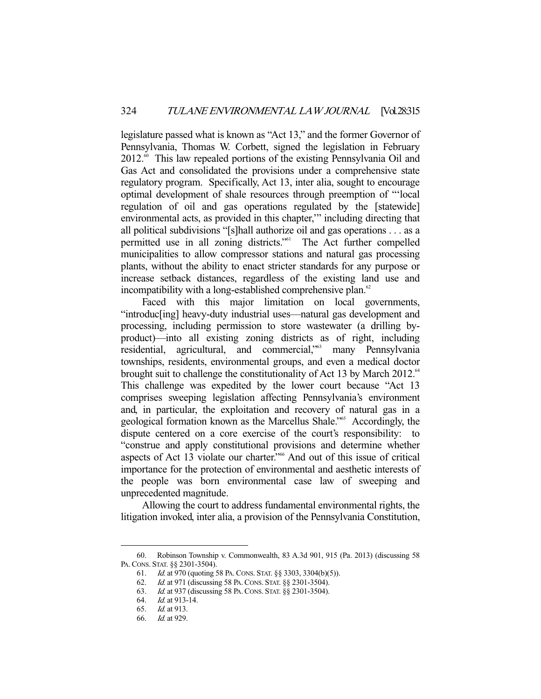legislature passed what is known as "Act 13," and the former Governor of Pennsylvania, Thomas W. Corbett, signed the legislation in February  $2012.^{\circ\circ}$  This law repealed portions of the existing Pennsylvania Oil and Gas Act and consolidated the provisions under a comprehensive state regulatory program. Specifically, Act 13, inter alia, sought to encourage optimal development of shale resources through preemption of "'local regulation of oil and gas operations regulated by the [statewide] environmental acts, as provided in this chapter,'" including directing that all political subdivisions "[s]hall authorize oil and gas operations . . . as a permitted use in all zoning districts."<sup>61</sup> The Act further compelled municipalities to allow compressor stations and natural gas processing plants, without the ability to enact stricter standards for any purpose or increase setback distances, regardless of the existing land use and incompatibility with a long-established comprehensive plan. $62$ 

Faced with this major limitation on local governments, "introduc[ing] heavy-duty industrial uses—natural gas development and processing, including permission to store wastewater (a drilling byproduct)—into all existing zoning districts as of right, including residential, agricultural, and commercial,<sup>563</sup> many Pennsylvania townships, residents, environmental groups, and even a medical doctor brought suit to challenge the constitutionality of Act 13 by March 2012.<sup>64</sup> This challenge was expedited by the lower court because "Act 13 comprises sweeping legislation affecting Pennsylvania's environment and, in particular, the exploitation and recovery of natural gas in a geological formation known as the Marcellus Shale."<sup>65</sup> Accordingly, the dispute centered on a core exercise of the court's responsibility: to "construe and apply constitutional provisions and determine whether aspects of Act 13 violate our charter."66 And out of this issue of critical importance for the protection of environmental and aesthetic interests of the people was born environmental case law of sweeping and unprecedented magnitude.

 Allowing the court to address fundamental environmental rights, the litigation invoked, inter alia, a provision of the Pennsylvania Constitution,

 <sup>60.</sup> Robinson Township v. Commonwealth, 83 A.3d 901, 915 (Pa. 2013) (discussing 58 PA.CONS. STAT. §§ 2301-3504).

 <sup>61.</sup> Id. at 970 (quoting 58 PA.CONS. STAT. §§ 3303, 3304(b)(5)).

 <sup>62.</sup> Id. at 971 (discussing 58 PA.CONS. STAT. §§ 2301-3504).

 <sup>63.</sup> Id. at 937 (discussing 58 PA.CONS. STAT. §§ 2301-3504).

 <sup>64.</sup> Id. at 913-14.

 <sup>65.</sup> Id. at 913.

 <sup>66.</sup> Id. at 929.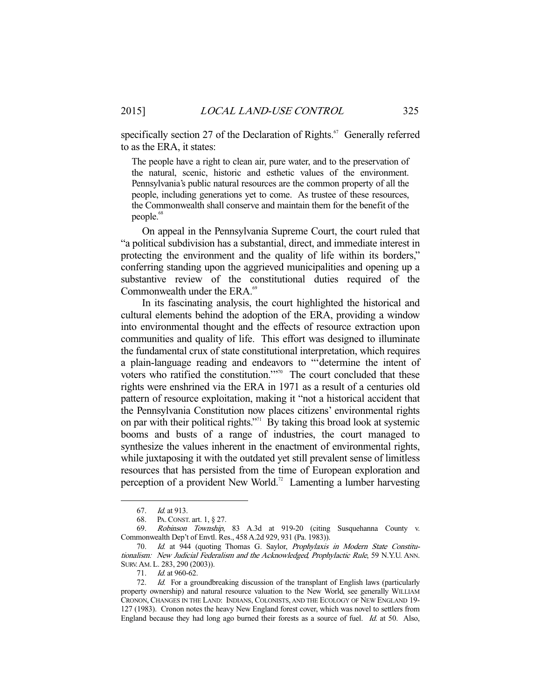specifically section 27 of the Declaration of Rights.<sup> $67$ </sup> Generally referred to as the ERA, it states:

The people have a right to clean air, pure water, and to the preservation of the natural, scenic, historic and esthetic values of the environment. Pennsylvania's public natural resources are the common property of all the people, including generations yet to come. As trustee of these resources, the Commonwealth shall conserve and maintain them for the benefit of the people.<sup>68</sup>

 On appeal in the Pennsylvania Supreme Court, the court ruled that "a political subdivision has a substantial, direct, and immediate interest in protecting the environment and the quality of life within its borders," conferring standing upon the aggrieved municipalities and opening up a substantive review of the constitutional duties required of the Commonwealth under the ERA.<sup>69</sup>

 In its fascinating analysis, the court highlighted the historical and cultural elements behind the adoption of the ERA, providing a window into environmental thought and the effects of resource extraction upon communities and quality of life. This effort was designed to illuminate the fundamental crux of state constitutional interpretation, which requires a plain-language reading and endeavors to "'determine the intent of voters who ratified the constitution."<sup>70</sup> The court concluded that these rights were enshrined via the ERA in 1971 as a result of a centuries old pattern of resource exploitation, making it "not a historical accident that the Pennsylvania Constitution now places citizens' environmental rights on par with their political rights."<sup>71</sup> By taking this broad look at systemic booms and busts of a range of industries, the court managed to synthesize the values inherent in the enactment of environmental rights, while juxtaposing it with the outdated yet still prevalent sense of limitless resources that has persisted from the time of European exploration and perception of a provident New World.<sup>72</sup> Lamenting a lumber harvesting

 <sup>67.</sup> Id. at 913.

<sup>68.</sup> PA. CONST. art. 1, § 27.<br>69. *Robinson Township.* 

Robinson Township, 83 A.3d at 919-20 (citing Susquehanna County v. Commonwealth Dep't of Envtl. Res., 458 A.2d 929, 931 (Pa. 1983)).

 <sup>70.</sup> Id. at 944 (quoting Thomas G. Saylor, Prophylaxis in Modern State Constitutionalism: New Judicial Federalism and the Acknowledged, Prophylactic Rule, 59 N.Y.U. ANN. SURV.AM.L. 283, 290 (2003)).

<sup>71.</sup> *Id.* at 960-62.

<sup>72.</sup> Id. For a groundbreaking discussion of the transplant of English laws (particularly property ownership) and natural resource valuation to the New World, see generally WILLIAM CRONON, CHANGES IN THE LAND: INDIANS, COLONISTS, AND THE ECOLOGY OF NEW ENGLAND 19- 127 (1983). Cronon notes the heavy New England forest cover, which was novel to settlers from England because they had long ago burned their forests as a source of fuel. Id. at 50. Also,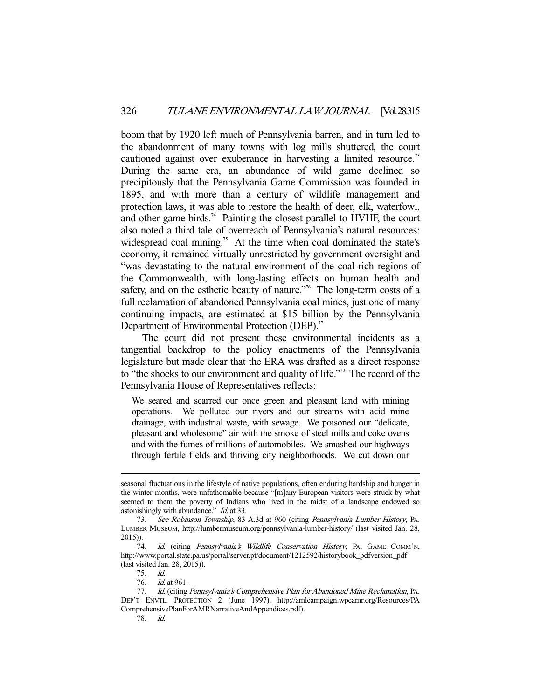boom that by 1920 left much of Pennsylvania barren, and in turn led to the abandonment of many towns with log mills shuttered, the court cautioned against over exuberance in harvesting a limited resource.<sup>73</sup> During the same era, an abundance of wild game declined so precipitously that the Pennsylvania Game Commission was founded in 1895, and with more than a century of wildlife management and protection laws, it was able to restore the health of deer, elk, waterfowl, and other game birds.<sup>74</sup> Painting the closest parallel to HVHF, the court also noted a third tale of overreach of Pennsylvania's natural resources: widespread coal mining.<sup>75</sup> At the time when coal dominated the state's economy, it remained virtually unrestricted by government oversight and "was devastating to the natural environment of the coal-rich regions of the Commonwealth, with long-lasting effects on human health and safety, and on the esthetic beauty of nature."<sup>6</sup> The long-term costs of a full reclamation of abandoned Pennsylvania coal mines, just one of many continuing impacts, are estimated at \$15 billion by the Pennsylvania Department of Environmental Protection (DEP).<sup>77</sup>

 The court did not present these environmental incidents as a tangential backdrop to the policy enactments of the Pennsylvania legislature but made clear that the ERA was drafted as a direct response to "the shocks to our environment and quality of life."78 The record of the Pennsylvania House of Representatives reflects:

We seared and scarred our once green and pleasant land with mining operations. We polluted our rivers and our streams with acid mine drainage, with industrial waste, with sewage. We poisoned our "delicate, pleasant and wholesome" air with the smoke of steel mills and coke ovens and with the fumes of millions of automobiles. We smashed our highways through fertile fields and thriving city neighborhoods. We cut down our

seasonal fluctuations in the lifestyle of native populations, often enduring hardship and hunger in the winter months, were unfathomable because "[m]any European visitors were struck by what seemed to them the poverty of Indians who lived in the midst of a landscape endowed so astonishingly with abundance." Id. at 33.

 <sup>73.</sup> See Robinson Township, 83 A.3d at 960 (citing Pennsylvania Lumber History, PA. LUMBER MUSEUM, http://lumbermuseum.org/pennsylvania-lumber-history/ (last visited Jan. 28, 2015)).

<sup>74.</sup> Id. (citing Pennsylvania's Wildlife Conservation History, PA. GAME COMM'N, http://www.portal.state.pa.us/portal/server.pt/document/1212592/historybook\_pdfversion\_pdf (last visited Jan. 28, 2015)).

 <sup>75.</sup> Id.

<sup>76.</sup> *Id.* at 961.

<sup>77.</sup> Id. (citing Pennsylvania's Comprehensive Plan for Abandoned Mine Reclamation, PA. DEP'T ENVTL. PROTECTION 2 (June 1997), http://amlcampaign.wpcamr.org/Resources/PA ComprehensivePlanForAMRNarrativeAndAppendices.pdf).

 <sup>78.</sup> Id.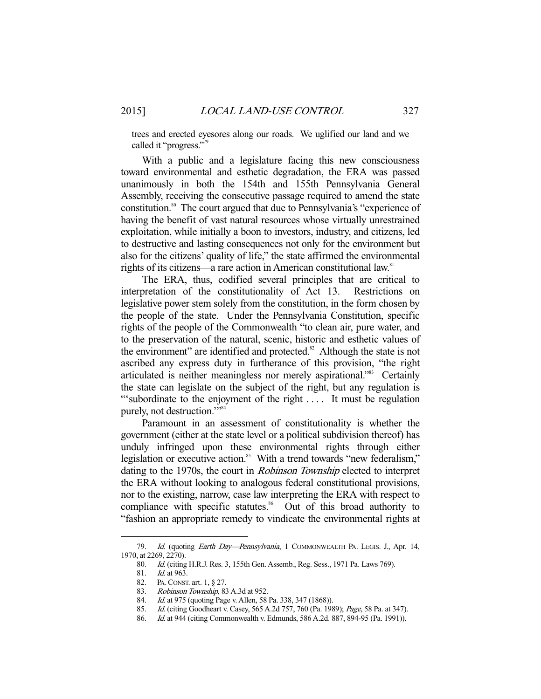trees and erected eyesores along our roads. We uglified our land and we called it "progress."<sup>79</sup>

 With a public and a legislature facing this new consciousness toward environmental and esthetic degradation, the ERA was passed unanimously in both the 154th and 155th Pennsylvania General Assembly, receiving the consecutive passage required to amend the state constitution.80 The court argued that due to Pennsylvania's "experience of having the benefit of vast natural resources whose virtually unrestrained exploitation, while initially a boon to investors, industry, and citizens, led to destructive and lasting consequences not only for the environment but also for the citizens' quality of life," the state affirmed the environmental rights of its citizens—a rare action in American constitutional law.<sup>81</sup>

 The ERA, thus, codified several principles that are critical to interpretation of the constitutionality of Act 13. Restrictions on legislative power stem solely from the constitution, in the form chosen by the people of the state. Under the Pennsylvania Constitution, specific rights of the people of the Commonwealth "to clean air, pure water, and to the preservation of the natural, scenic, historic and esthetic values of the environment" are identified and protected. $82$  Although the state is not ascribed any express duty in furtherance of this provision, "the right articulated is neither meaningless nor merely aspirational."<sup>83</sup> Certainly the state can legislate on the subject of the right, but any regulation is "subordinate to the enjoyment of the right .... It must be regulation purely, not destruction."<sup>54</sup>

 Paramount in an assessment of constitutionality is whether the government (either at the state level or a political subdivision thereof) has unduly infringed upon these environmental rights through either legislation or executive action.<sup>85</sup> With a trend towards "new federalism," dating to the 1970s, the court in Robinson Township elected to interpret the ERA without looking to analogous federal constitutional provisions, nor to the existing, narrow, case law interpreting the ERA with respect to compliance with specific statutes.<sup>86</sup> Out of this broad authority to "fashion an appropriate remedy to vindicate the environmental rights at

<sup>79.</sup> Id. (quoting *Earth Day—Pennsylvania*, 1 COMMONWEALTH PA. LEGIS. J., Apr. 14, 1970, at 2269, 2270).

<sup>80.</sup> Id. (citing H.R.J. Res. 3, 155th Gen. Assemb., Reg. Sess., 1971 Pa. Laws 769).<br>81. Id. at 963.

*Id.* at 963.

 <sup>82.</sup> PA.CONST. art. 1, § 27.

<sup>83.</sup> *Robinson Township*, 83 A.3d at 952.

<sup>84.</sup> Id. at 975 (quoting Page v. Allen, 58 Pa. 338, 347 (1868)).

 <sup>85.</sup> Id. (citing Goodheart v. Casey, 565 A.2d 757, 760 (Pa. 1989); Page, 58 Pa. at 347).

<sup>86.</sup> *Id.* at 944 (citing Commonwealth v. Edmunds, 586 A.2d. 887, 894-95 (Pa. 1991)).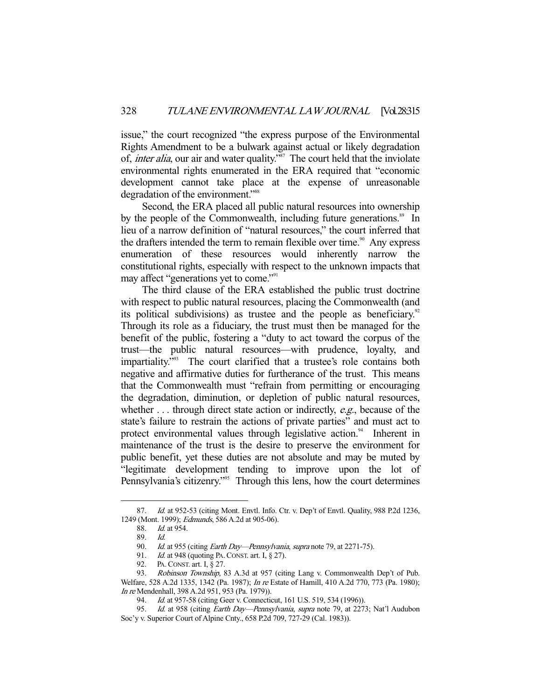issue," the court recognized "the express purpose of the Environmental Rights Amendment to be a bulwark against actual or likely degradation of, *inter alia*, our air and water quality."<sup>87</sup> The court held that the inviolate environmental rights enumerated in the ERA required that "economic development cannot take place at the expense of unreasonable degradation of the environment."<sup>88</sup>

 Second, the ERA placed all public natural resources into ownership by the people of the Commonwealth, including future generations.<sup>89</sup> In lieu of a narrow definition of "natural resources," the court inferred that the drafters intended the term to remain flexible over time.<sup>90</sup> Any express enumeration of these resources would inherently narrow the constitutional rights, especially with respect to the unknown impacts that may affect "generations yet to come."<sup>91</sup>

 The third clause of the ERA established the public trust doctrine with respect to public natural resources, placing the Commonwealth (and its political subdivisions) as trustee and the people as beneficiary.<sup>92</sup> Through its role as a fiduciary, the trust must then be managed for the benefit of the public, fostering a "duty to act toward the corpus of the trust—the public natural resources—with prudence, loyalty, and impartiality."93 The court clarified that a trustee's role contains both negative and affirmative duties for furtherance of the trust. This means that the Commonwealth must "refrain from permitting or encouraging the degradation, diminution, or depletion of public natural resources, whether  $\dots$  through direct state action or indirectly, *e.g.*, because of the state's failure to restrain the actions of private parties" and must act to protect environmental values through legislative action.<sup>94</sup> Inherent in maintenance of the trust is the desire to preserve the environment for public benefit, yet these duties are not absolute and may be muted by "legitimate development tending to improve upon the lot of Pennsylvania's citizenry."<sup>95</sup> Through this lens, how the court determines

<sup>87.</sup> Id. at 952-53 (citing Mont. Envtl. Info. Ctr. v. Dep't of Envtl. Quality, 988 P.2d 1236, 1249 (Mont. 1999); Edmunds, 586 A.2d at 905-06).

 <sup>88.</sup> Id. at 954.

 <sup>89.</sup> Id.

<sup>90.</sup> Id. at 955 (citing Earth Day—Pennsylvania, supra note 79, at 2271-75).

<sup>91.</sup> *Id.* at 948 (quoting PA. CONST. art. I, § 27).

 <sup>92.</sup> PA.CONST. art. I, § 27.

<sup>93.</sup> Robinson Township, 83 A.3d at 957 (citing Lang v. Commonwealth Dep't of Pub. Welfare, 528 A.2d 1335, 1342 (Pa. 1987); In re Estate of Hamill, 410 A.2d 770, 773 (Pa. 1980); In re Mendenhall, 398 A.2d 951, 953 (Pa. 1979)).

<sup>94.</sup> Id. at 957-58 (citing Geer v. Connecticut, 161 U.S. 519, 534 (1996)).

<sup>95.</sup> Id. at 958 (citing Earth Day-Pennsylvania, supra note 79, at 2273; Nat'l Audubon Soc'y v. Superior Court of Alpine Cnty., 658 P.2d 709, 727-29 (Cal. 1983)).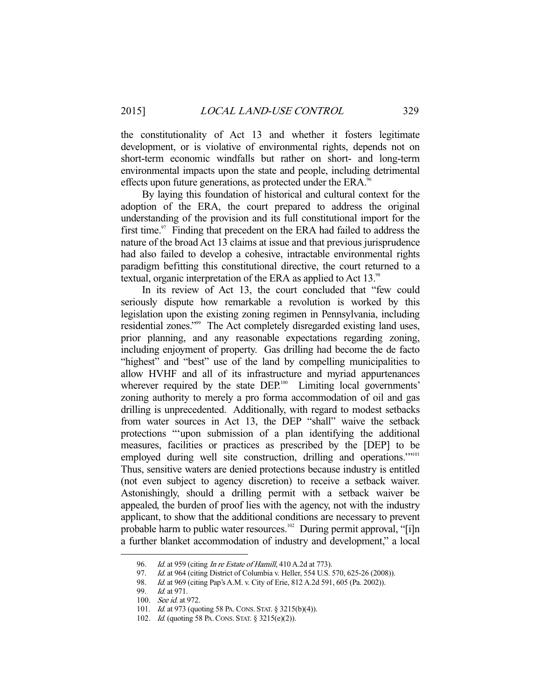the constitutionality of Act 13 and whether it fosters legitimate development, or is violative of environmental rights, depends not on short-term economic windfalls but rather on short- and long-term environmental impacts upon the state and people, including detrimental effects upon future generations, as protected under the ERA.<sup>96</sup>

 By laying this foundation of historical and cultural context for the adoption of the ERA, the court prepared to address the original understanding of the provision and its full constitutional import for the first time.<sup>97</sup> Finding that precedent on the ERA had failed to address the nature of the broad Act 13 claims at issue and that previous jurisprudence had also failed to develop a cohesive, intractable environmental rights paradigm befitting this constitutional directive, the court returned to a textual, organic interpretation of the ERA as applied to Act 13.<sup>98</sup>

 In its review of Act 13, the court concluded that "few could seriously dispute how remarkable a revolution is worked by this legislation upon the existing zoning regimen in Pennsylvania, including residential zones."99 The Act completely disregarded existing land uses, prior planning, and any reasonable expectations regarding zoning, including enjoyment of property. Gas drilling had become the de facto "highest" and "best" use of the land by compelling municipalities to allow HVHF and all of its infrastructure and myriad appurtenances wherever required by the state DEP.<sup>100</sup> Limiting local governments' zoning authority to merely a pro forma accommodation of oil and gas drilling is unprecedented. Additionally, with regard to modest setbacks from water sources in Act 13, the DEP "shall" waive the setback protections "'upon submission of a plan identifying the additional measures, facilities or practices as prescribed by the [DEP] to be employed during well site construction, drilling and operations."<sup>101</sup> Thus, sensitive waters are denied protections because industry is entitled (not even subject to agency discretion) to receive a setback waiver. Astonishingly, should a drilling permit with a setback waiver be appealed, the burden of proof lies with the agency, not with the industry applicant, to show that the additional conditions are necessary to prevent probable harm to public water resources.<sup>102</sup> During permit approval, "[i]n a further blanket accommodation of industry and development," a local

<sup>96.</sup> *Id.* at 959 (citing *In re Estate of Hamill*, 410 A.2d at 773).<br>97. *Id.* at 964 (citing District of Columbia v. Heller, 554 U.S.

Id. at 964 (citing District of Columbia v. Heller, 554 U.S. 570, 625-26 (2008)).

<sup>98.</sup> *Id.* at 969 (citing Pap's A.M. v. City of Erie, 812 A.2d 591, 605 (Pa. 2002)).

 <sup>99.</sup> Id. at 971.

 <sup>100.</sup> See id. at 972.

 <sup>101.</sup> Id. at 973 (quoting 58 PA.CONS. STAT. § 3215(b)(4)).

<sup>102.</sup> *Id.* (quoting 58 PA. CONS. STAT. § 3215(e)(2)).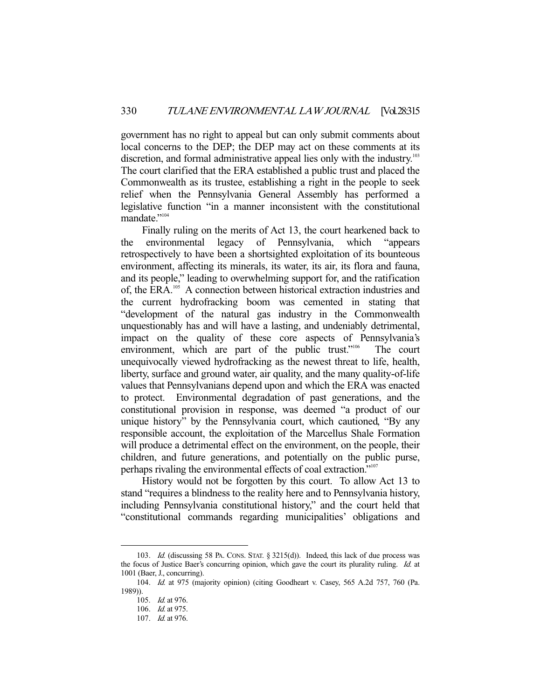government has no right to appeal but can only submit comments about local concerns to the DEP; the DEP may act on these comments at its discretion, and formal administrative appeal lies only with the industry.<sup>103</sup> The court clarified that the ERA established a public trust and placed the Commonwealth as its trustee, establishing a right in the people to seek relief when the Pennsylvania General Assembly has performed a legislative function "in a manner inconsistent with the constitutional mandate."<sup>104</sup>

 Finally ruling on the merits of Act 13, the court hearkened back to the environmental legacy of Pennsylvania, which "appears retrospectively to have been a shortsighted exploitation of its bounteous environment, affecting its minerals, its water, its air, its flora and fauna, and its people," leading to overwhelming support for, and the ratification of, the ERA.105 A connection between historical extraction industries and the current hydrofracking boom was cemented in stating that "development of the natural gas industry in the Commonwealth unquestionably has and will have a lasting, and undeniably detrimental, impact on the quality of these core aspects of Pennsylvania's environment, which are part of the public trust."<sup>106</sup> The court unequivocally viewed hydrofracking as the newest threat to life, health, liberty, surface and ground water, air quality, and the many quality-of-life values that Pennsylvanians depend upon and which the ERA was enacted to protect. Environmental degradation of past generations, and the constitutional provision in response, was deemed "a product of our unique history" by the Pennsylvania court, which cautioned, "By any responsible account, the exploitation of the Marcellus Shale Formation will produce a detrimental effect on the environment, on the people, their children, and future generations, and potentially on the public purse, perhaps rivaling the environmental effects of coal extraction."107

 History would not be forgotten by this court. To allow Act 13 to stand "requires a blindness to the reality here and to Pennsylvania history, including Pennsylvania constitutional history," and the court held that "constitutional commands regarding municipalities' obligations and

<sup>103.</sup> Id. (discussing 58 PA. CONS. STAT. § 3215(d)). Indeed, this lack of due process was the focus of Justice Baer's concurring opinion, which gave the court its plurality ruling. Id. at 1001 (Baer, J., concurring).

 <sup>104.</sup> Id. at 975 (majority opinion) (citing Goodheart v. Casey, 565 A.2d 757, 760 (Pa. 1989)).

 <sup>105.</sup> Id. at 976.

<sup>106.</sup> *Id.* at 975.

 <sup>107.</sup> Id. at 976.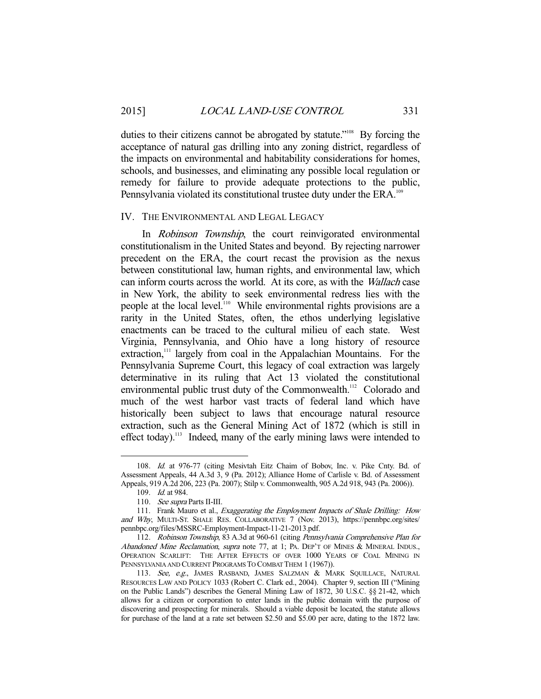duties to their citizens cannot be abrogated by statute."<sup>108</sup> By forcing the acceptance of natural gas drilling into any zoning district, regardless of the impacts on environmental and habitability considerations for homes, schools, and businesses, and eliminating any possible local regulation or remedy for failure to provide adequate protections to the public, Pennsylvania violated its constitutional trustee duty under the ERA.<sup>109</sup>

#### IV. THE ENVIRONMENTAL AND LEGAL LEGACY

 In Robinson Township, the court reinvigorated environmental constitutionalism in the United States and beyond. By rejecting narrower precedent on the ERA, the court recast the provision as the nexus between constitutional law, human rights, and environmental law, which can inform courts across the world. At its core, as with the Wallach case in New York, the ability to seek environmental redress lies with the people at the local level.110 While environmental rights provisions are a rarity in the United States, often, the ethos underlying legislative enactments can be traced to the cultural milieu of each state. West Virginia, Pennsylvania, and Ohio have a long history of resource extraction,<sup>111</sup> largely from coal in the Appalachian Mountains. For the Pennsylvania Supreme Court, this legacy of coal extraction was largely determinative in its ruling that Act 13 violated the constitutional environmental public trust duty of the Commonwealth.<sup>112</sup> Colorado and much of the west harbor vast tracts of federal land which have historically been subject to laws that encourage natural resource extraction, such as the General Mining Act of 1872 (which is still in effect today).<sup>113</sup> Indeed, many of the early mining laws were intended to

 <sup>108.</sup> Id. at 976-77 (citing Mesivtah Eitz Chaim of Bobov, Inc. v. Pike Cnty. Bd. of Assessment Appeals, 44 A.3d 3, 9 (Pa. 2012); Alliance Home of Carlisle v. Bd. of Assessment Appeals, 919 A.2d 206, 223 (Pa. 2007); Stilp v. Commonwealth, 905 A.2d 918, 943 (Pa. 2006)).

 <sup>109.</sup> Id. at 984.

 <sup>110.</sup> See supra Parts II-III.

<sup>111.</sup> Frank Mauro et al., *Exaggerating the Employment Impacts of Shale Drilling: How* and Why, MULTI-ST. SHALE RES. COLLABORATIVE 7 (Nov. 2013), https://pennbpc.org/sites/ pennbpc.org/files/MSSRC-Employment-Impact-11-21-2013.pdf.

 <sup>112.</sup> Robinson Township, 83 A.3d at 960-61 (citing Pennsylvania Comprehensive Plan for Abandoned Mine Reclamation, supra note 77, at 1; PA. DEP'T OF MINES & MINERAL INDUS., OPERATION SCARLIFT: THE AFTER EFFECTS OF OVER 1000 YEARS OF COAL MINING IN PENNSYLVANIA AND CURRENT PROGRAMS TO COMBAT THEM 1 (1967)).

<sup>113.</sup> See, e.g., JAMES RASBAND, JAMES SALZMAN & MARK SQUILLACE, NATURAL RESOURCES LAW AND POLICY 1033 (Robert C. Clark ed., 2004). Chapter 9, section III ("Mining on the Public Lands") describes the General Mining Law of 1872, 30 U.S.C. §§ 21-42, which allows for a citizen or corporation to enter lands in the public domain with the purpose of discovering and prospecting for minerals. Should a viable deposit be located, the statute allows for purchase of the land at a rate set between \$2.50 and \$5.00 per acre, dating to the 1872 law.